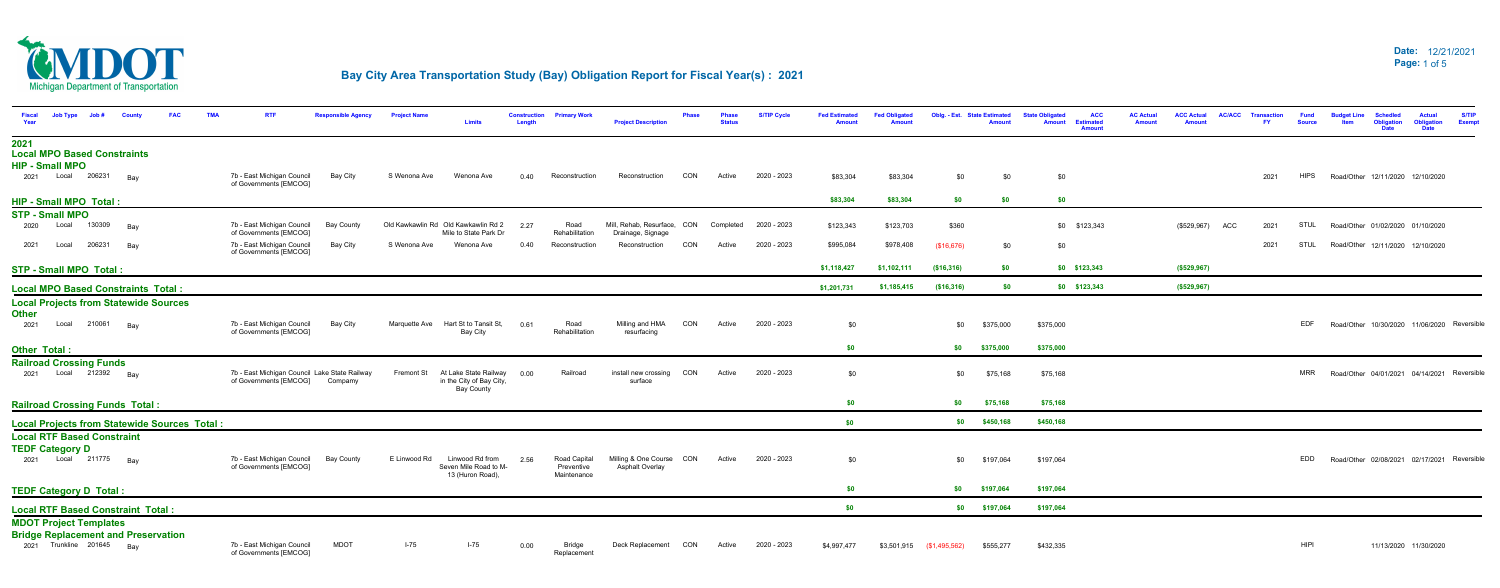

| <b>Job Type</b><br>Job#<br>Fiscal<br>Year<br>County<br><b>FAC</b>                                        | <b>RTI</b>                                                                      |                   | <b>Project Name</b> | <b>Limits</b>                                                          | <b>Construction</b><br>Length | <b>Primary Work</b>          | <b>Project Description</b>                       |     | <b>Status</b> | <b>S/TIP Cycle</b>    | <b>Fed Estimated</b><br><b>Amount</b> | <b>Fed Obligated</b> |                            | Oblg. - Est. State Estimated | <b>ACC</b><br><b>State Obligated</b><br><b>Estimated</b><br><b>Amount</b><br><b>Amount</b> | <b>AC Actual</b><br><b>Amount</b> | <b>ACC Actual</b><br><b>Amount</b> | <b>AC/ACC</b> | <b>Transaction</b><br><b>FY</b> | <b>Fund</b><br><b>Source</b> | Item | <b>Schedled</b><br><b>Obligation</b><br><b>Date</b> | <b>Actual</b><br><b>Obligation</b><br><b>Date</b> | <b>S/TIP</b><br><b>Exemp</b> |
|----------------------------------------------------------------------------------------------------------|---------------------------------------------------------------------------------|-------------------|---------------------|------------------------------------------------------------------------|-------------------------------|------------------------------|--------------------------------------------------|-----|---------------|-----------------------|---------------------------------------|----------------------|----------------------------|------------------------------|--------------------------------------------------------------------------------------------|-----------------------------------|------------------------------------|---------------|---------------------------------|------------------------------|------|-----------------------------------------------------|---------------------------------------------------|------------------------------|
| 2021<br><b>Local MPO Based Constraints</b><br><b>HIP - Small MPO</b>                                     |                                                                                 |                   |                     |                                                                        |                               |                              |                                                  |     |               |                       |                                       |                      |                            |                              |                                                                                            |                                   |                                    |               |                                 |                              |      |                                                     |                                                   |                              |
| 2021 Local 206231<br>Bay                                                                                 | 7b - East Michigan Council<br>of Governments [EMCOG]                            | <b>Bay City</b>   | S Wenona Ave        | Wenona Ave                                                             | 0.40                          | Reconstruction               | Reconstruction                                   | CON | Active        | 2020 - 2023           | \$83,304                              | \$83,304             | \$0                        | \$0                          | \$0                                                                                        |                                   |                                    |               | 2021                            | <b>HIPS</b>                  |      | Road/Other 12/11/2020 12/10/2020                    |                                                   |                              |
| <b>HIP - Small MPO Total:</b>                                                                            |                                                                                 |                   |                     |                                                                        |                               |                              |                                                  |     |               |                       | \$83,304                              | \$83,304             | \$0                        | \$0                          | \$0                                                                                        |                                   |                                    |               |                                 |                              |      |                                                     |                                                   |                              |
| <b>STP - Small MPO</b>                                                                                   |                                                                                 |                   |                     |                                                                        |                               |                              |                                                  |     |               |                       |                                       |                      |                            |                              |                                                                                            |                                   |                                    |               |                                 |                              |      |                                                     |                                                   |                              |
| 130309<br>Local<br>2020<br>Bay                                                                           | 7b - East Michigan Council<br>of Governments [EMCOG]                            | <b>Bay County</b> |                     | Old Kawkawlin Rd Old Kawkawlin Rd 2<br>Mile to State Park Dr           | 2.27                          | Road<br>Rehabilitation       | Mill, Rehab, Resurface, CON<br>Drainage, Signage |     |               | Completed 2020 - 2023 | \$123,343                             | \$123,703            | \$360                      |                              | \$0 \$123,343                                                                              |                                   | (\$529,967)                        | ACC           | 2021                            | <b>STUL</b>                  |      | Road/Other 01/02/2020 01/10/2020                    |                                                   |                              |
| 206231<br>Local<br>2021<br>Bay                                                                           | 7b - East Michigan Council<br>of Governments [EMCOG]                            | <b>Bay City</b>   | S Wenona Ave        | Wenona Ave                                                             | 0.40                          | Reconstruction               | Reconstruction                                   | CON | Active        | 2020 - 2023           | \$995,084                             | \$978,408            | (\$16,676)                 | \$0                          | \$0                                                                                        |                                   |                                    |               | 2021                            | STUL                         |      | Road/Other 12/11/2020 12/10/2020                    |                                                   |                              |
| <b>STP - Small MPO Total:</b>                                                                            |                                                                                 |                   |                     |                                                                        |                               |                              |                                                  |     |               |                       | \$1,118,427                           | \$1,102,111          | (\$16,316)                 | \$0                          | $$0$ $$123,343$                                                                            |                                   | (\$529,967)                        |               |                                 |                              |      |                                                     |                                                   |                              |
| <b>Local MPO Based Constraints Total:</b>                                                                |                                                                                 |                   |                     |                                                                        |                               |                              |                                                  |     |               |                       | \$1,201,731                           | \$1,185,415          | ( \$16, 316)               | \$0                          | $$0$ $$123,343$                                                                            |                                   | (\$529, 967)                       |               |                                 |                              |      |                                                     |                                                   |                              |
| <b>Local Projects from Statewide Sources</b>                                                             |                                                                                 |                   |                     |                                                                        |                               |                              |                                                  |     |               |                       |                                       |                      |                            |                              |                                                                                            |                                   |                                    |               |                                 |                              |      |                                                     |                                                   |                              |
| <b>Other</b><br>210061 Bay<br>2021<br>Local                                                              | 7b - East Michigan Council<br>of Governments [EMCOG]                            | Bay City          | Marquette Ave       | Hart St to Tansit St,<br>Bay City                                      | 0.61                          | Road<br>Rehabilitation       | Milling and HMA<br>resurfacing                   | CON | Active        | 2020 - 2023           | \$0                                   |                      | \$0                        | \$375,000                    | \$375,000                                                                                  |                                   |                                    |               |                                 | <b>EDF</b>                   |      | Road/Other 10/30/2020 11/06/2020 Reversible         |                                                   |                              |
| <b>Other Total</b>                                                                                       |                                                                                 |                   |                     |                                                                        |                               |                              |                                                  |     |               |                       | \$0                                   |                      | \$0                        | \$375,000                    | \$375,000                                                                                  |                                   |                                    |               |                                 |                              |      |                                                     |                                                   |                              |
| <b>Railroad Crossing Funds</b><br>2021 Local 212392 Bay                                                  | 7b - East Michigan Council Lake State Railway<br>of Governments [EMCOG] Compamy |                   | Fremont St          | At Lake State Railway<br>in the City of Bay City,<br><b>Bay County</b> | 0.00                          | Railroad                     | install new crossing<br>surface                  | CON | Active        | 2020 - 2023           | \$0                                   |                      | \$0                        | \$75,168                     | \$75,168                                                                                   |                                   |                                    |               |                                 | <b>MRR</b>                   |      | Road/Other 04/01/2021 04/14/2021 Reversible         |                                                   |                              |
| <b>Railroad Crossing Funds Total:</b>                                                                    |                                                                                 |                   |                     |                                                                        |                               |                              |                                                  |     |               |                       | \$0                                   |                      | \$0                        | \$75,168                     | \$75,168                                                                                   |                                   |                                    |               |                                 |                              |      |                                                     |                                                   |                              |
| <b>Local Projects from Statewide Sources Total:</b>                                                      |                                                                                 |                   |                     |                                                                        |                               |                              |                                                  |     |               |                       | \$0                                   |                      | \$0                        | \$450,168                    | \$450,168                                                                                  |                                   |                                    |               |                                 |                              |      |                                                     |                                                   |                              |
| <b>Local RTF Based Constraint</b><br><b>TEDF Category D</b><br>2021 Local 211775 Bay                     | 7b - East Michigan Council                                                      | Bay County        | E Linwood Rd        | Linwood Rd from                                                        | 2.56                          | Road Capital                 | Milling & One Course CON                         |     | Active        | 2020 - 2023           | \$0                                   |                      | \$0                        | \$197,064                    | \$197,064                                                                                  |                                   |                                    |               |                                 | EDD                          |      | Road/Other 02/08/2021 02/17/2021 Reversible         |                                                   |                              |
|                                                                                                          | of Governments [EMCOG]                                                          |                   |                     | Seven Mile Road to M-<br>13 (Huron Road),                              |                               | Preventive<br>Maintenance    | Asphalt Overlay                                  |     |               |                       |                                       |                      |                            |                              |                                                                                            |                                   |                                    |               |                                 |                              |      |                                                     |                                                   |                              |
| <b>TEDF Category D Total:</b>                                                                            |                                                                                 |                   |                     |                                                                        |                               |                              |                                                  |     |               |                       | \$0                                   |                      | \$0                        | \$197,064                    | \$197,064                                                                                  |                                   |                                    |               |                                 |                              |      |                                                     |                                                   |                              |
| <b>Local RTF Based Constraint Total:</b>                                                                 |                                                                                 |                   |                     |                                                                        |                               |                              |                                                  |     |               |                       | \$0                                   |                      |                            | \$0 \$197,064                | \$197,064                                                                                  |                                   |                                    |               |                                 |                              |      |                                                     |                                                   |                              |
| <b>MDOT Project Templates</b><br><b>Bridge Replacement and Preservation</b><br>2021 Trunkline 201645 Bay | 7b - East Michigan Council<br>of Governments [EMCOG]                            | <b>MDOT</b>       | $I-75$              | $I-75$                                                                 | 0.00                          | <b>Bridge</b><br>Replacement | Deck Replacement CON                             |     | Active        | 2020 - 2023           | \$4,997,477                           |                      | $$3,501,915$ (\$1,495,562) | \$555,277                    | \$432,335                                                                                  |                                   |                                    |               |                                 | HIPI                         |      |                                                     | 11/13/2020 11/30/2020                             |                              |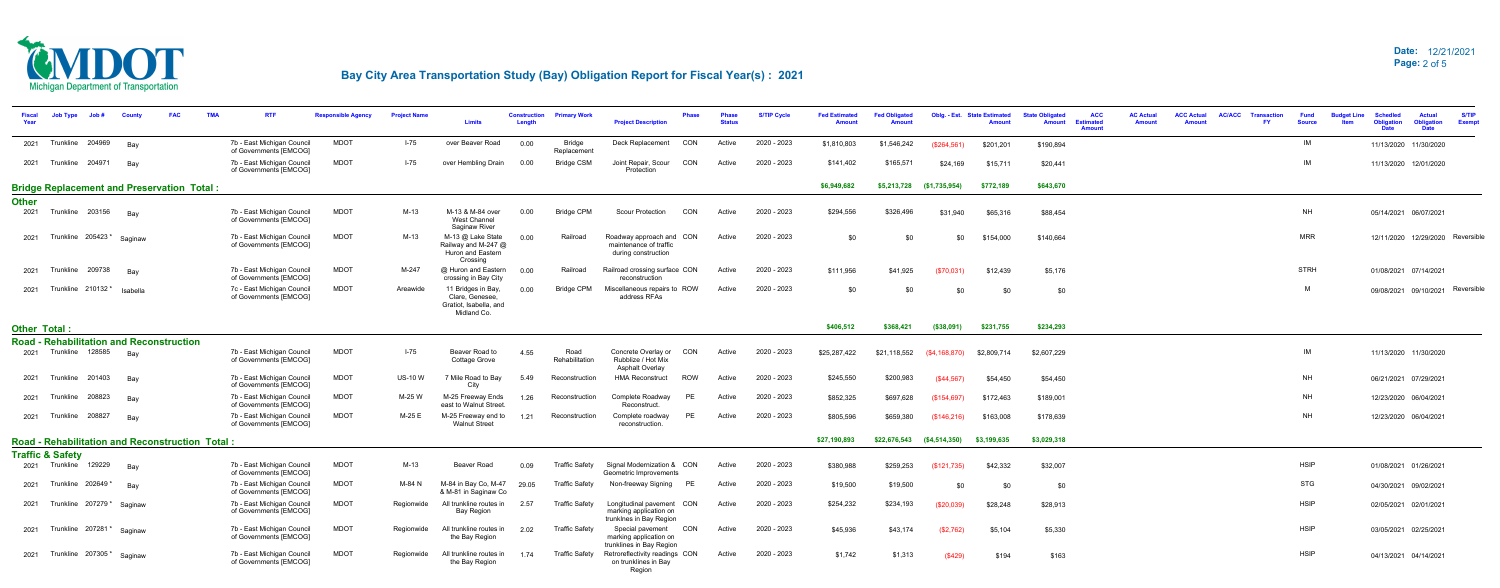

| Year         | <b>Job Type</b>             |                         |                                                        | <b>TM</b> | <b>RTF</b>                                           | <b>Responsible Agency</b> | <b>Project Name</b> | <b>Limits</b>                                                                  | <b>Construction</b><br>Length | <b>Primary Worl</b>          | <b>Project Description</b>                                                     | Phase      | Phase<br><b>Status</b> | <b>S/TIP Cycle</b> | <b>Fed Estimated</b><br><b>Amount</b> | <b>Fed Obligated</b> |                                           | Oblg. - Est. State Estimated<br><b>Amount</b> | <b>ACC</b><br><b>State Obligated</b><br>Amount<br><b>Estimated</b><br><b>Amount</b> | <b>AC Actual</b><br><b>Amount</b> | <b>ACC Actual</b><br><b>Amount</b> | <b>AC/ACC</b> | <b>Transaction</b><br>FY. | <b>Fund</b><br><b>Source</b> | <b>Obligation</b><br><b>Date</b> | <b>S/TIP</b><br><b>Actual</b><br><b>Obligation</b><br>Exemp<br><b>Date</b> |
|--------------|-----------------------------|-------------------------|--------------------------------------------------------|-----------|------------------------------------------------------|---------------------------|---------------------|--------------------------------------------------------------------------------|-------------------------------|------------------------------|--------------------------------------------------------------------------------|------------|------------------------|--------------------|---------------------------------------|----------------------|-------------------------------------------|-----------------------------------------------|-------------------------------------------------------------------------------------|-----------------------------------|------------------------------------|---------------|---------------------------|------------------------------|----------------------------------|----------------------------------------------------------------------------|
|              |                             | 2021 Trunkline 204969   | Bay                                                    |           | 7b - East Michigan Council<br>of Governments [EMCOG] | <b>MDOT</b>               | $I - 75$            | over Beaver Road                                                               | 0.00                          | <b>Bridge</b><br>Replacement | Deck Replacement                                                               | CON        | Active                 | 2020 - 2023        | \$1,810,803                           | \$1,546,242          | (S264.561)                                | \$201,201                                     | \$190,894                                                                           |                                   |                                    |               |                           | IM                           |                                  | 11/13/2020 11/30/2020                                                      |
|              |                             | 2021 Trunkline 204971   | Bay                                                    |           | 7b - East Michigan Council<br>of Governments [EMCOG] | <b>MDOT</b>               | $I - 75$            | over Hembling Drain                                                            | 0.00                          | <b>Bridge CSM</b>            | Joint Repair, Scour<br>Protection                                              | CON        | Active                 | 2020 - 2023        | \$141,402                             | \$165,571            | \$24,169                                  | \$15.711                                      | \$20,441                                                                            |                                   |                                    |               |                           | IM                           |                                  | 11/13/2020 12/01/2020                                                      |
|              |                             |                         | <b>Bridge Replacement and Preservation Total:</b>      |           |                                                      |                           |                     |                                                                                |                               |                              |                                                                                |            |                        |                    | \$6,949,682                           | \$5,213,728          | (\$1,735,954)                             | \$772,189                                     | \$643,670                                                                           |                                   |                                    |               |                           |                              |                                  |                                                                            |
| <b>Other</b> |                             |                         |                                                        |           |                                                      |                           |                     |                                                                                |                               |                              |                                                                                |            |                        |                    |                                       |                      |                                           |                                               |                                                                                     |                                   |                                    |               |                           |                              |                                  |                                                                            |
| 2021         |                             | Trunkline 203156        | Bav                                                    |           | 7b - East Michigan Council<br>of Governments [EMCOG] | <b>MDOT</b>               | $M-13$              | M-13 & M-84 over<br><b>West Channel</b><br>Saginaw River                       | 0.00                          | <b>Bridge CPM</b>            | Scour Protection                                                               | <b>CON</b> | Active                 | 2020 - 2023        | \$294,556                             | \$326.496            | \$31.940                                  | \$65,316                                      | \$88,454                                                                            |                                   |                                    |               |                           | <b>NH</b>                    |                                  | 05/14/2021 06/07/2021                                                      |
|              |                             | 2021 Trunkline 205423*  | Saginaw                                                |           | 7b - East Michigan Council<br>of Governments [EMCOG] | <b>MDOT</b>               | M-13                | M-13 @ Lake State<br>Railway and M-247 @<br>Huron and Eastern<br>Crossing      | 0.00                          | Railroad                     | Roadway approach and CON<br>maintenance of traffic<br>during construction      |            | Active                 | 2020 - 2023        | \$0                                   | \$0                  | \$0                                       | \$154,000                                     | \$140,664                                                                           |                                   |                                    |               |                           | <b>MRR</b>                   |                                  | 12/11/2020 12/29/2020 Reversible                                           |
|              |                             | 2021 Trunkline 209738   | Bay                                                    |           | 7b - East Michigan Council<br>of Governments [EMCOG] | <b>MDOT</b>               | M-247               | @ Huron and Eastern<br>crossing in Bay City                                    | 0.00                          | Railroad                     | Railroad crossing surface CON<br>reconstruction                                |            | Active                 | 2020 - 2023        | \$111,956                             | \$41,925             | (S70, 031)                                | \$12,439                                      | \$5,176                                                                             |                                   |                                    |               |                           | <b>STRH</b>                  |                                  | 01/08/2021 07/14/2021                                                      |
|              |                             |                         | 2021 Trunkline 210132 <sup>*</sup> Isabella            |           | 7c - East Michigan Council<br>of Governments [EMCOG] | <b>MDOT</b>               | Areawide            | 11 Bridges in Bay,<br>Clare, Genesee.<br>Gratiot, Isabella, and<br>Midland Co. | 0.00                          | <b>Bridge CPM</b>            | Miscellaneous repairs to ROW<br>address RFAs                                   |            | Active                 | 2020 - 2023        | \$0                                   | ፍበ                   |                                           | \$0                                           | \$0                                                                                 |                                   |                                    |               |                           | M                            |                                  | 09/08/2021 09/10/2021 Reversible                                           |
| Other Total: |                             |                         |                                                        |           |                                                      |                           |                     |                                                                                |                               |                              |                                                                                |            |                        |                    | \$406,512                             | \$368,421            | (\$38,091)                                | \$231,755                                     | \$234,293                                                                           |                                   |                                    |               |                           |                              |                                  |                                                                            |
|              |                             |                         | <b>Road - Rehabilitation and Reconstruction</b>        |           |                                                      |                           |                     |                                                                                |                               |                              |                                                                                |            |                        |                    |                                       |                      |                                           |                                               |                                                                                     |                                   |                                    |               |                           |                              |                                  |                                                                            |
|              |                             | 2021 Trunkline 128585   | Bay                                                    |           | 7b - East Michigan Council<br>of Governments [EMCOG] | <b>MDOT</b>               | $I-75$              | Beaver Road to<br>Cottage Grove                                                | 4.55                          | Road<br>Rehabilitation       | Concrete Overlay or<br>Rubblize / Hot Mix<br><b>Asphalt Overlay</b>            | CON        | Active                 | 2020 - 2023        | \$25,287,422                          | \$21,118,552         | (S4, 168, 870)                            | \$2,809,714                                   | \$2,607,229                                                                         |                                   |                                    |               |                           | IM                           |                                  | 11/13/2020 11/30/2020                                                      |
|              |                             | 2021 Trunkline 201403   | Bay                                                    |           | 7b - East Michigan Council<br>of Governments [EMCOG] | <b>MDOT</b>               | <b>US-10 W</b>      | 7 Mile Road to Bay<br>City                                                     | 5.49                          | Reconstruction               | <b>HMA Reconstruct</b>                                                         | <b>ROW</b> | Active                 | 2020 - 2023        | \$245,550                             | \$200,983            | (S44.567)                                 | \$54,450                                      | \$54,450                                                                            |                                   |                                    |               |                           | <b>NH</b>                    |                                  | 06/21/2021 07/29/2021                                                      |
|              |                             | 2021 Trunkline 208823   | Bay                                                    |           | 7b - East Michigan Council<br>of Governments [EMCOG] | <b>MDOT</b>               | M-25 W              | M-25 Freeway Ends<br>east to Walnut Street                                     | 1.26                          | Reconstruction               | Complete Roadway<br>Reconstruct.                                               | <b>PE</b>  | Active                 | 2020 - 2023        | \$852,325                             | \$697,628            | (S154.697)                                | \$172,463                                     | \$189,001                                                                           |                                   |                                    |               |                           | <b>NH</b>                    |                                  | 12/23/2020 06/04/2021                                                      |
|              |                             | 2021 Trunkline 208827   | Bay                                                    |           | 7b - East Michigan Council<br>of Governments [EMCOG] | <b>MDOT</b>               | M-25 E              | M-25 Freeway end to<br><b>Walnut Street</b>                                    | 1.21                          | Reconstruction               | Complete roadway<br>reconstruction.                                            | PE         | Active                 | 2020 - 2023        | \$805,596                             | \$659,380            | (\$146, 216)                              | \$163,008                                     | \$178,639                                                                           |                                   |                                    |               |                           | <b>NH</b>                    |                                  | 12/23/2020 06/04/2021                                                      |
|              |                             |                         | <b>Road - Rehabilitation and Reconstruction Total:</b> |           |                                                      |                           |                     |                                                                                |                               |                              |                                                                                |            |                        |                    | \$27,190,893                          |                      | $$22,676,543$ $($4,514,350)$ $$3,199,635$ |                                               | \$3,029,318                                                                         |                                   |                                    |               |                           |                              |                                  |                                                                            |
|              | <b>Traffic &amp; Safety</b> |                         |                                                        |           |                                                      |                           |                     |                                                                                |                               |                              |                                                                                |            |                        |                    |                                       |                      |                                           |                                               |                                                                                     |                                   |                                    |               |                           |                              |                                  |                                                                            |
|              |                             | 2021 Trunkline 129229   | Bay                                                    |           | 7b - East Michigan Council<br>of Governments [EMCOG] | <b>MDOT</b>               | M-13                | Beaver Road                                                                    | 0.09                          | <b>Traffic Safety</b>        | Signal Modernization & CON<br>Geometric Improvements                           |            | Active                 | 2020 - 2023        | \$380,988                             | \$259,253            | (\$121,735)                               | \$42,332                                      | \$32,007                                                                            |                                   |                                    |               |                           | <b>HSIP</b>                  |                                  | 01/08/2021 01/26/2021                                                      |
|              |                             | 2021 Trunkline 202649 * | Bay                                                    |           | 7b - East Michigan Council<br>of Governments [EMCOG] | <b>MDOT</b>               | M-84 N              | M-84 in Bay Co, M-47<br>& M-81 in Saginaw Co                                   | 29.05                         | <b>Traffic Safety</b>        | Non-freeway Signing                                                            | PE         | Active                 | 2020 - 2023        | \$19,500                              | \$19,500             | \$0                                       | \$0                                           | \$0                                                                                 |                                   |                                    |               |                           | STG                          |                                  | 04/30/2021 09/02/2021                                                      |
|              |                             |                         | 2021 Trunkline 207279 * Saginaw                        |           | 7b - East Michigan Council<br>of Governments [EMCOG] | <b>MDOT</b>               |                     | Regionwide All trunkline routes in 2.57<br><b>Bay Region</b>                   |                               | <b>Traffic Safety</b>        | Longitudinal pavement CON<br>marking application on<br>trunklnes in Bay Region |            | Active                 | 2020 - 2023        | \$254,232                             | \$234,193            | \$20.039                                  | \$28,248                                      | \$28,913                                                                            |                                   |                                    |               |                           | <b>HSIP</b>                  |                                  | 02/05/2021 02/01/2021                                                      |
|              |                             |                         | 2021 Trunkline 207281 * Saginaw                        |           | 7b - East Michigan Council<br>of Governments [EMCOG] | <b>MDOT</b>               |                     | Regionwide All trunkline routes in<br>the Bay Region                           | 2.02                          | <b>Traffic Safety</b>        | Special pavement CON<br>marking application on<br>trunklines in Bay Region     |            | Active                 | 2020 - 2023        | \$45,936                              | \$43,174             | (\$2,762)                                 | \$5,104                                       | \$5,330                                                                             |                                   |                                    |               |                           | <b>HSIP</b>                  |                                  | 03/05/2021 02/25/2021                                                      |
|              |                             | 2021 Trunkline 207305*  | Saginaw                                                |           | 7b - East Michigan Council<br>of Governments [EMCOG] | <b>MDOT</b>               | Regionwide          | All trunkline routes in<br>the Bay Region                                      | 1.74                          | Traffic Safetv               | Retroreflectivity readings CON<br>on trunklines in Bay<br>Region               |            | Active                 | 2020 - 2023        | \$1,742                               | \$1,313              | (S429)                                    | \$194                                         | \$163                                                                               |                                   |                                    |               |                           | <b>HSIP</b>                  |                                  | 04/13/2021 04/14/2021                                                      |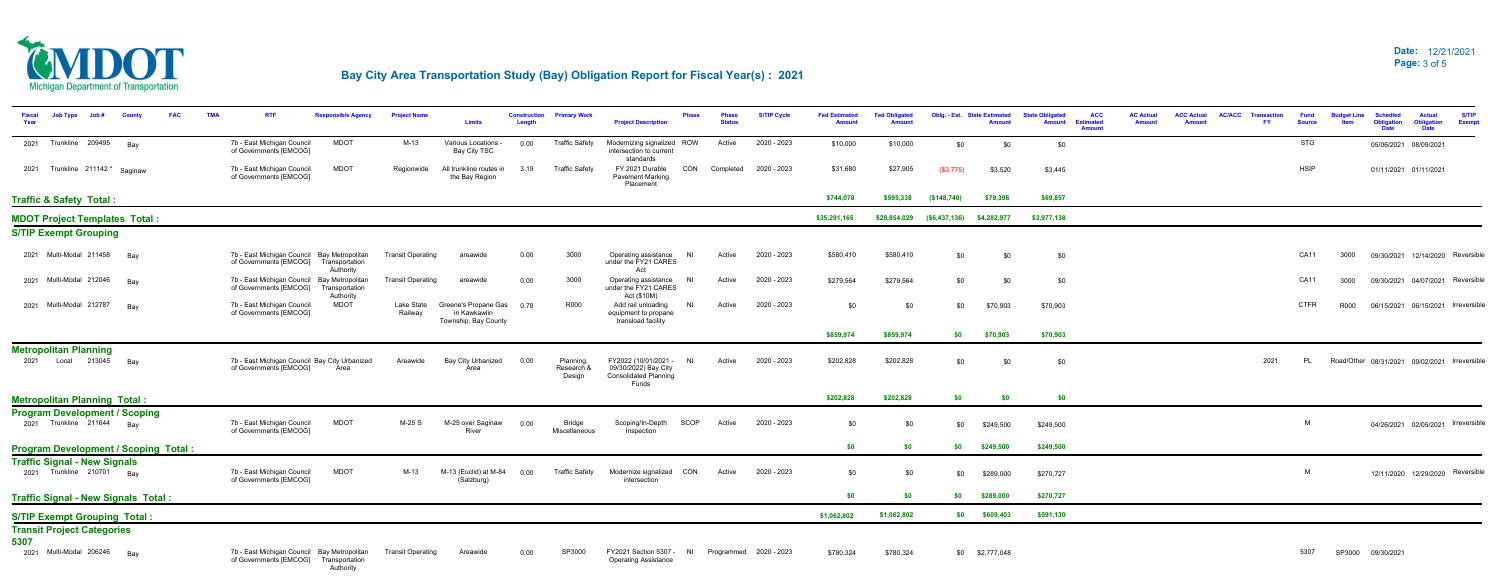### 12/21/2021 **Date:** 3 of 5 **Page:**



| <b>Job Type</b><br>Count                                       |                                                                                      |             | <b>Project Name</b>      | <b>Limits</b>                                                     | <b>Construction</b> | <b>Primary Work</b>               | <b>Project Description</b>                                                            | Phase          | 'hase<br>Status | <b>S/TIP Cycle</b>     | <b>Fed Estimated</b><br><b>Amount</b> | <b>Fed Obligated</b> |                             | <b>Oblg. - Est. State Estimated</b><br>Amount | <b>ACC</b><br><b>State Obligated</b><br><b>Estimated</b><br><b>Amount</b><br><b>Amount</b> | <b>AC Actual</b><br><b>Amount</b> | <b>ACC Actual</b><br>Amount | <b>AC/ACC</b> | <b>Transactio</b><br><b>FY</b> | <b>Fund</b><br><b>Source</b> |      | <b>Schedled</b><br><b>Obligation</b><br>Date  | <b>S/TIP</b><br>Actual<br><b>Obligation</b><br><b>Exemp</b> |
|----------------------------------------------------------------|--------------------------------------------------------------------------------------|-------------|--------------------------|-------------------------------------------------------------------|---------------------|-----------------------------------|---------------------------------------------------------------------------------------|----------------|-----------------|------------------------|---------------------------------------|----------------------|-----------------------------|-----------------------------------------------|--------------------------------------------------------------------------------------------|-----------------------------------|-----------------------------|---------------|--------------------------------|------------------------------|------|-----------------------------------------------|-------------------------------------------------------------|
| 2021 Trunkline 209495<br>Bay                                   | 7b - East Michigan Council<br>of Governments [EMCOG]                                 | <b>MDOT</b> | M-13                     | Various Locations -<br>Bay City TSC                               | 0.00                | <b>Traffic Safety</b>             | Modernizing signalized ROW<br>intersection to current<br>standards                    |                | Active          | 2020 - 2023            | \$10,000                              | \$10,000             | \$0                         | \$0                                           | \$0                                                                                        |                                   |                             |               |                                | STG                          |      | 05/06/2021 08/09/2021                         |                                                             |
| 2021 Trunkline 211142 <sup>*</sup> Saginaw                     | 7b - East Michigan Council<br>of Governments [EMCOG]                                 | <b>MDOT</b> | Regionwide               | All trunkline routes in<br>the Bay Region                         | 3.19                | <b>Traffic Safety</b>             | FY 2021 Durable<br><b>Pavement Marking</b><br>Placement                               | CON            |                 | Completed 2020 - 2023  | \$31,680                              | \$27,905             | (\$3,775)                   | \$3,520                                       | \$3,445                                                                                    |                                   |                             |               |                                | <b>HSIP</b>                  |      | 01/11/2021 01/11/2021                         |                                                             |
| <b>Traffic &amp; Safety Total:</b>                             |                                                                                      |             |                          |                                                                   |                     |                                   |                                                                                       |                |                 |                        | \$744,078                             | \$595,338            | (\$148,740)                 | \$79,398                                      | \$69,857                                                                                   |                                   |                             |               |                                |                              |      |                                               |                                                             |
| <b>MDOT Project Templates Total:</b>                           |                                                                                      |             |                          |                                                                   |                     |                                   |                                                                                       |                |                 |                        | \$35,291,165                          | \$28,854,029         | $($6,437,136)$ $$4,282,977$ |                                               | \$3,977,138                                                                                |                                   |                             |               |                                |                              |      |                                               |                                                             |
| <b>S/TIP Exempt Grouping</b>                                   |                                                                                      |             |                          |                                                                   |                     |                                   |                                                                                       |                |                 |                        |                                       |                      |                             |                                               |                                                                                            |                                   |                             |               |                                |                              |      |                                               |                                                             |
| 2021 Multi-Modal 211458<br>Bay                                 | 7b - East Michigan Council Bay Metropolitan<br>of Governments [EMCOG] Transportation | Authority   | <b>Transit Operating</b> | areawide                                                          | 0.00                | 3000                              | Operating assistance<br>under the FY21 CARES<br>Act                                   | NI             | Active          | 2020 - 2023            | \$580,410                             | \$580,410            | \$0                         | \$0                                           | \$0                                                                                        |                                   |                             |               |                                | <b>CA11</b>                  | 3000 |                                               | 09/30/2021 12/14/2020 Reversible                            |
| 2021 Multi-Modal 212046<br>Bay                                 | 7b - East Michigan Council Bay Metropolitan<br>of Governments [EMCOG] Transportation | Authority   | <b>Transit Operating</b> | areawide                                                          | 0.00                | 3000                              | Operating assistance<br>under the FY21 CARES<br>Act (\$10M)                           | -NI            | Active          | 2020 - 2023            | \$279,564                             | \$279,564            | \$0                         | \$0                                           | \$0                                                                                        |                                   |                             |               |                                | CA11                         | 3000 |                                               | 09/30/2021 04/07/2021 Reversible                            |
| 2021 Multi-Modal 212787<br>Bay                                 | 7b - East Michigan Council<br>of Governments [EMCOG]                                 | <b>MDOT</b> | Lake State<br>Railway    | Greene's Propane Gas 0.78<br>in Kawkawlin<br>Township, Bay County |                     | <b>R000</b>                       | Add rail unloading<br>equipment to propane<br>transload facility                      | NI             | Active          | 2020 - 2023            | \$0                                   | \$0                  | \$0                         | \$70,903                                      | \$70,903                                                                                   |                                   |                             |               |                                | <b>CTFR</b>                  | R000 |                                               | 06/15/2021 06/15/2021 Irreversible                          |
|                                                                |                                                                                      |             |                          |                                                                   |                     |                                   |                                                                                       |                |                 |                        | \$859,974                             | \$859,974            | \$0                         | \$70,903                                      | \$70,903                                                                                   |                                   |                             |               |                                |                              |      |                                               |                                                             |
| <b>Metropolitan Planning</b><br>2021    Local    213045<br>Bay | 7b - East Michigan Council Bay City Urbanized<br>of Governments [EMCOG]              | Area        | Areawide                 | Bay City Urbanized<br>Area                                        | 0.00                | Planning.<br>Research 8<br>Design | FY2022 (10/01/2021 -<br>09/30/2022) Bay City<br><b>Consolidated Planning</b><br>Funds | N <sub>l</sub> | Active          | 2020 - 2023            | \$202,828                             | \$202,828            | \$0                         | \$0                                           | \$0                                                                                        |                                   |                             |               | 2021                           | PL                           |      | Road/Other 08/31/2021 09/02/2021 Irreversible |                                                             |
| <b>Metropolitan Planning Total:</b>                            |                                                                                      |             |                          |                                                                   |                     |                                   |                                                                                       |                |                 |                        | \$202,828                             | \$202,828            | \$0                         | \$0                                           | \$0                                                                                        |                                   |                             |               |                                |                              |      |                                               |                                                             |
| <b>Program Development / Scoping</b>                           |                                                                                      |             |                          |                                                                   |                     |                                   |                                                                                       |                |                 |                        |                                       |                      |                             |                                               |                                                                                            |                                   |                             |               |                                |                              |      |                                               |                                                             |
| 2021 Trunkline 211644 Bay                                      | 7b - East Michigan Council<br>of Governments [EMCOG]                                 | <b>MDOT</b> | M-25 S                   | M-25 over Saginaw<br>River                                        | 0.00                | <b>Bridge</b><br>Miscellaneous    | Scoping/In-Depth<br>Inspection                                                        | SCOP           | Active          | 2020 - 2023            | \$0                                   | -90                  | \$0                         | \$249,500                                     | \$249,500                                                                                  |                                   |                             |               |                                | M                            |      |                                               | 04/26/2021 02/05/2021 Irreversible                          |
| <b>Program Development / Scoping Total:</b>                    |                                                                                      |             |                          |                                                                   |                     |                                   |                                                                                       |                |                 |                        | \$0                                   | \$0                  | \$0                         | \$249,500                                     | \$249,500                                                                                  |                                   |                             |               |                                |                              |      |                                               |                                                             |
| <b>Traffic Signal - New Signals</b>                            |                                                                                      |             |                          |                                                                   |                     |                                   |                                                                                       |                |                 |                        |                                       |                      |                             |                                               |                                                                                            |                                   |                             |               |                                |                              |      |                                               |                                                             |
| 2021 Trunkline 210701 Bay                                      | 7b - East Michigan Council<br>of Governments [EMCOG]                                 | <b>MDOT</b> | M-13                     | M-13 (Euclid) at M-84<br>(Salzburg)                               | 0.00                | <b>Traffic Safety</b>             | Modernize signalized CON<br>intersection                                              |                | Active          | 2020 - 2023            | \$0                                   | -\$0                 | \$0                         | \$289,000                                     | \$270,727                                                                                  |                                   |                             |               |                                | M                            |      |                                               | 12/11/2020 12/29/2020 Reversible                            |
| <b>Traffic Signal - New Signals Total:</b>                     |                                                                                      |             |                          |                                                                   |                     |                                   |                                                                                       |                |                 |                        | -\$0                                  | \$0                  | \$0                         | \$289,000                                     | \$270,727                                                                                  |                                   |                             |               |                                |                              |      |                                               |                                                             |
| <b>S/TIP Exempt Grouping Total:</b>                            |                                                                                      |             |                          |                                                                   |                     |                                   |                                                                                       |                |                 |                        | \$1,062,802                           | \$1,062,802          | \$0                         | \$609,403                                     | \$591,130                                                                                  |                                   |                             |               |                                |                              |      |                                               |                                                             |
| <b>Transit Project Categories</b><br>5307                      |                                                                                      |             |                          |                                                                   |                     |                                   |                                                                                       |                |                 |                        |                                       |                      |                             |                                               |                                                                                            |                                   |                             |               |                                |                              |      |                                               |                                                             |
| 2021 Multi-Modal 206246<br>Bay                                 | 7b - East Michigan Council Bay Metropolitan<br>of Governments [EMCOG] Transportation | Authority   | <b>Transit Operating</b> | Areawide                                                          | 0.00                | SP3000                            | FY2021 Section 5307 - NI<br><b>Operating Assistance</b>                               |                |                 | Programmed 2020 - 2023 | \$780,324                             | \$780,324            |                             | \$0 \$2,777,048                               |                                                                                            |                                   |                             |               |                                | 5307                         |      | SP3000 09/30/2021                             |                                                             |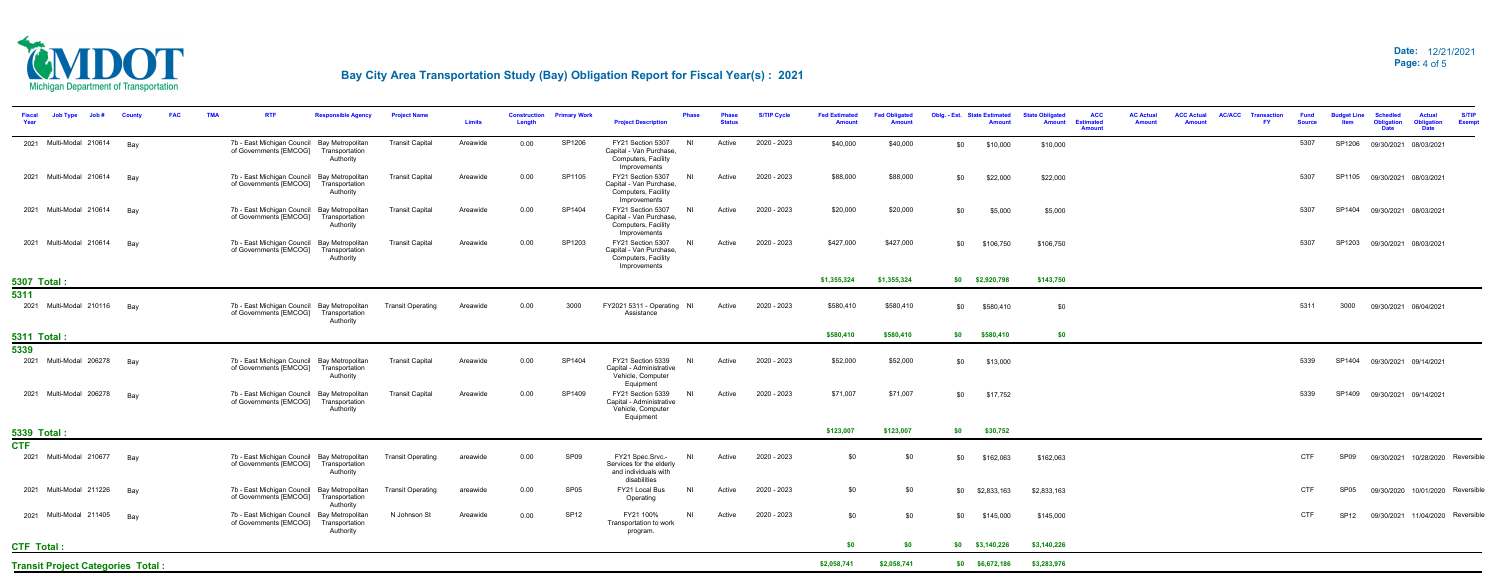**Transit Project Categories Total :**



| Job#<br><b>County</b>                    | <b>FAC</b><br><b>TMA</b><br><b>RTF</b><br><b>Responsible Agency</b>                                  | <b>Project Name</b>      | <b>Limits</b> | <b>Construction</b><br>Length | <b>Primary Work</b> | <b>Project Description</b>                                                           | Phase<br><b>Status</b>   | <b>S/TIP Cycle</b> | <b>Fed Estimated</b><br><b>Amount</b> | <b>Fed Obligated</b> | <b>Oblg. - Est. State Estimated</b> | <b>ACC</b><br><b>State Obligated</b><br><b>Amount</b><br><b>Estimated</b><br><b>Amount</b> | <b>AC Actual</b><br>Amount | <b>ACC Actual</b><br><b>AC/ACC</b><br><b>Transaction</b><br>FY.<br><b>Amoun</b> | <b>Fund</b><br><b>Source</b> | udget Line       | <b>Schedled</b><br><b>Obligation</b><br>Date | <b>Actual</b><br><b>Obligation</b><br><b>Date</b> | <b>S/TIP</b><br><b>Exempt</b> |
|------------------------------------------|------------------------------------------------------------------------------------------------------|--------------------------|---------------|-------------------------------|---------------------|--------------------------------------------------------------------------------------|--------------------------|--------------------|---------------------------------------|----------------------|-------------------------------------|--------------------------------------------------------------------------------------------|----------------------------|---------------------------------------------------------------------------------|------------------------------|------------------|----------------------------------------------|---------------------------------------------------|-------------------------------|
| 2021 Multi-Modal 210614<br>Bay           | 7b - East Michigan Council Bay Metropolitan<br>of Governments [EMCOG] Transportation<br>Authority    | <b>Transit Capital</b>   | Areawide      | 0.00                          | SP1206              | FY21 Section 5307<br>Capital - Van Purchase<br>Computers, Facility<br>Improvements   | N1<br>Active             | 2020 - 2023        | \$40,000                              | \$40,000             | \$10,000<br>\$0                     | \$10,000                                                                                   |                            |                                                                                 | 5307                         |                  | SP1206 09/30/2021 08/03/2021                 |                                                   |                               |
| 2021 Multi-Modal 210614<br>Bay           | 7b - East Michigan Council Bay Metropolitan<br>of Governments [EMCOG] Transportation<br>Authority    | <b>Transit Capital</b>   | Areawide      | 0.00                          | SP1105              | FY21 Section 5307<br>Capital - Van Purchase<br>Computers, Facility<br>Improvements   | N <sub>l</sub><br>Active | 2020 - 2023        | \$88,000                              | \$88,000             | \$0<br>\$22,000                     | \$22,000                                                                                   |                            |                                                                                 | 5307                         |                  | SP1105 09/30/2021 08/03/2021                 |                                                   |                               |
| 2021 Multi-Modal 210614<br>Bav           | 7b - East Michigan Council Bay Metropolitan<br>of Governments [EMCOG] Transportation<br>Authority    | <b>Transit Capital</b>   | Areawide      | 0.00                          | SP1404              | FY21 Section 5307<br>Capital - Van Purchase<br>Computers, Facility<br>Improvements   | <b>NI</b><br>Active      | 2020 - 2023        | \$20,000                              | \$20,000             | \$0<br>\$5,000                      | \$5,000                                                                                    |                            |                                                                                 | 5307                         |                  | SP1404 09/30/2021 08/03/2021                 |                                                   |                               |
| 2021 Multi-Modal 210614<br>Bav           | 7b - East Michigan Council Bay Metropolitan<br>of Governments [EMCOG] Transportation<br>Authority    | <b>Transit Capital</b>   | Areawide      | 0.00                          | SP1203              | FY21 Section 5307<br>Capital - Van Purchase<br>Computers, Facility<br>Improvements   | ΝI<br>Active             | 2020 - 2023        | \$427,000                             | \$427,000            | \$106,750<br>\$0                    | \$106,750                                                                                  |                            |                                                                                 | 5307                         |                  | SP1203 09/30/2021 08/03/2021                 |                                                   |                               |
| <b>5307 Total:</b>                       |                                                                                                      |                          |               |                               |                     |                                                                                      |                          |                    | \$1,355,324                           | \$1,355,324          | $$0$ $$2,920,798$                   | \$143,750                                                                                  |                            |                                                                                 |                              |                  |                                              |                                                   |                               |
| 5311<br>2021 Multi-Modal 210116<br>Bay   | 7b - East Michigan Council Bay Metropolitan<br>of Governments [EMCOG] Transportation<br>Authority    | <b>Transit Operating</b> | Areawide      | 0.00                          | 3000                | FY2021 5311 - Operating NI<br>Assistance                                             | Active                   | 2020 - 2023        | \$580,410                             | \$580,410            | \$0<br>\$580,410                    | \$0                                                                                        |                            |                                                                                 | 5311                         | 3000             | 09/30/2021 06/04/2021                        |                                                   |                               |
| <b>5311 Total:</b>                       |                                                                                                      |                          |               |                               |                     |                                                                                      |                          |                    | \$580,410                             | \$580,410            | \$0<br>\$580,410                    | \$0                                                                                        |                            |                                                                                 |                              |                  |                                              |                                                   |                               |
| 5339                                     |                                                                                                      |                          |               |                               |                     |                                                                                      |                          |                    |                                       |                      |                                     |                                                                                            |                            |                                                                                 |                              |                  |                                              |                                                   |                               |
| 2021 Multi-Modal 206278 Bay              | 7b - East Michigan Council Bay Metropolitan<br>of Governments [EMCOG] Transportation<br>Authority    | <b>Transit Capital</b>   | Areawide      | 0.00                          | SP1404              | FY21 Section 5339<br>Capital - Administrative<br>Vehicle, Computer<br>Equipment      | NI<br>Active             | 2020 - 2023        | \$52,000                              | \$52,000             | \$0<br>\$13,000                     |                                                                                            |                            |                                                                                 | 5339                         |                  | SP1404 09/30/2021 09/14/2021                 |                                                   |                               |
| 2021 Multi-Modal 206278<br>Bav           | 7b - East Michigan Council Bay Metropolitan<br>of Governments [EMCOG]<br>Transportation<br>Authority | <b>Transit Capital</b>   | Areawide      | 0.00                          | SP1409              | FY21 Section 5339<br>Capital - Administrative<br>Vehicle, Computer<br>Equipment      | - NI<br>Active           | 2020 - 2023        | \$71,007                              | \$71,007             | \$0<br>\$17,752                     |                                                                                            |                            |                                                                                 | 5339                         |                  | SP1409 09/30/2021 09/14/2021                 |                                                   |                               |
| 5339 Total:                              |                                                                                                      |                          |               |                               |                     |                                                                                      |                          |                    | \$123,007                             | \$123,007            | \$30,752<br>\$0                     |                                                                                            |                            |                                                                                 |                              |                  |                                              |                                                   |                               |
| <b>CTF</b>                               |                                                                                                      |                          |               |                               |                     |                                                                                      |                          |                    |                                       |                      |                                     |                                                                                            |                            |                                                                                 |                              |                  |                                              |                                                   |                               |
| 2021 Multi-Modal 210677<br>Bay           | 7b - East Michigan Council Bay Metropolitan<br>of Governments [EMCOG] Transportation<br>Authority    | <b>Transit Operating</b> | areawide      | 0.00                          | SP <sub>09</sub>    | FY21 Spec.Srvc.-<br>Services for the elderly<br>and individuals with<br>disabilities | NI<br>Active             | 2020 - 2023        | \$0                                   | \$0                  | \$162,063<br>\$0                    | \$162,063                                                                                  |                            |                                                                                 | <b>CTF</b>                   | SP09             |                                              | 09/30/2021 10/28/2020 Reversible                  |                               |
| 2021 Multi-Modal 211226<br>Bav           | 7b - East Michigan Council Bay Metropolitan<br>of Governments [EMCOG] Transportation<br>Authority    | <b>Transit Operating</b> | areawide      | 0.00                          | SP <sub>05</sub>    | FY21 Local Bus<br>Operating                                                          | <b>NI</b><br>Active      | 2020 - 2023        | \$0                                   | \$0                  | \$0<br>\$2,833,163                  | \$2,833,163                                                                                |                            |                                                                                 | <b>CTF</b>                   | SP05             |                                              | 09/30/2020 10/01/2020 Reversible                  |                               |
| 2021 Multi-Modal 211405<br>Bay           | 7b - East Michigan Council Bay Metropolitan<br>of Governments [EMCOG] Transportation<br>Authority    | N Johnson St             | Areawide      | 0.00                          | SP <sub>12</sub>    | FY21 100%<br>Transportation to work<br>program.                                      | N <sub>1</sub><br>Active | 2020 - 2023        | \$0                                   | \$0                  | \$0<br>\$145,000                    | \$145,000                                                                                  |                            |                                                                                 | <b>CTF</b>                   | SP <sub>12</sub> |                                              | 09/30/2021 11/04/2020 Reversible                  |                               |
| <b>CTF Total:</b>                        |                                                                                                      |                          |               |                               |                     |                                                                                      |                          |                    | \$0                                   | \$0                  | $$0$ $$3,140,226$                   | \$3,140,226                                                                                |                            |                                                                                 |                              |                  |                                              |                                                   |                               |
| <b>Transit Project Categories Total:</b> |                                                                                                      |                          |               |                               |                     |                                                                                      |                          |                    | \$2,058,741                           | \$2,058,741          | \$6,672,186<br>\$0                  | \$3,283,976                                                                                |                            |                                                                                 |                              |                  |                                              |                                                   |                               |